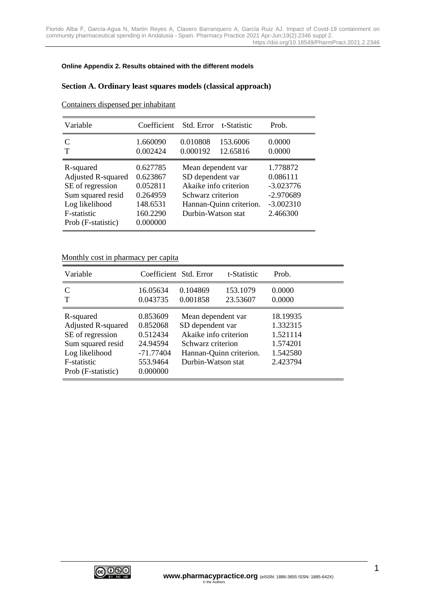#### **Online Appendix 2. Results obtained with the different models**

## **Section A. Ordinary least squares models (classical approach)**

| Variable                                                                                                                               | Coefficient                                                                      | Std. Error                                                                                                 | t-Statistic             | Prob.                                                                         |
|----------------------------------------------------------------------------------------------------------------------------------------|----------------------------------------------------------------------------------|------------------------------------------------------------------------------------------------------------|-------------------------|-------------------------------------------------------------------------------|
| $\mathcal{C}_{\mathcal{C}}$<br>т                                                                                                       | 1.660090<br>0.002424                                                             | 0.010808<br>0.000192                                                                                       | 153.6006<br>12.65816    | 0.0000<br>0.0000                                                              |
| R-squared<br><b>Adjusted R-squared</b><br>SE of regression<br>Sum squared resid<br>Log likelihood<br>F-statistic<br>Prob (F-statistic) | 0.627785<br>0.623867<br>0.052811<br>0.264959<br>148.6531<br>160.2290<br>0.000000 | Mean dependent var<br>SD dependent var<br>Akaike info criterion<br>Schwarz criterion<br>Durbin-Watson stat | Hannan-Quinn criterion. | 1.778872<br>0.086111<br>$-3.023776$<br>$-2.970689$<br>$-3.002310$<br>2.466300 |

Containers dispensed per inhabitant

## Monthly cost in pharmacy per capita

| Variable                                                                                                                               |                                                                                   | Coefficient Std. Error                                                                                     | t-Statistic             | Prob.                                                                |
|----------------------------------------------------------------------------------------------------------------------------------------|-----------------------------------------------------------------------------------|------------------------------------------------------------------------------------------------------------|-------------------------|----------------------------------------------------------------------|
| C<br>T                                                                                                                                 | 16.05634<br>0.043735                                                              | 0.104869<br>0.001858                                                                                       | 153.1079<br>23.53607    | 0.0000<br>0.0000                                                     |
| R-squared<br><b>Adjusted R-squared</b><br>SE of regression<br>Sum squared resid<br>Log likelihood<br>F-statistic<br>Prob (F-statistic) | 0.853609<br>0.852068<br>0.512434<br>24.94594<br>-71.77404<br>553.9464<br>0.000000 | Mean dependent var<br>SD dependent var<br>Akaike info criterion<br>Schwarz criterion<br>Durbin-Watson stat | Hannan-Quinn criterion. | 18.19935<br>1.332315<br>1.521114<br>1.574201<br>1.542580<br>2.423794 |